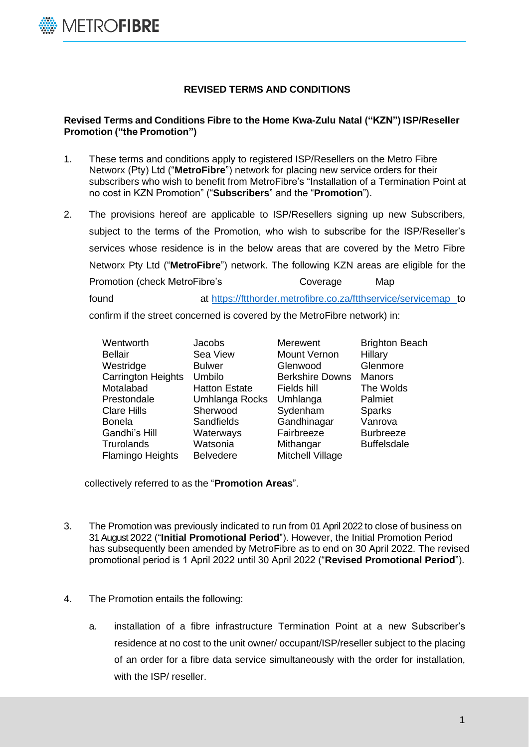

## **REVISED TERMS AND CONDITIONS**

## **Revised Terms and Conditions Fibre to the Home Kwa-Zulu Natal ("KZN") ISP/Reseller Promotion ("the Promotion")**

- 1. These terms and conditions apply to registered ISP/Resellers on the Metro Fibre Networx (Pty) Ltd ("**MetroFibre**") network for placing new service orders for their subscribers who wish to benefit from MetroFibre's "Installation of a Termination Point at no cost in KZN Promotion" ("**Subscribers**" and the "**Promotion**").
- 2. The provisions hereof are applicable to ISP/Resellers signing up new Subscribers, subject to the terms of the Promotion, who wish to subscribe for the ISP/Reseller's services whose residence is in the below areas that are covered by the Metro Fibre Networx Pty Ltd ("**MetroFibre**") network. The following KZN areas are eligible for the Promotion (check MetroFibre's Coverage Map found at <https://ftthorder.metrofibre.co.za/ftthservice/servicemap> to confirm if the street concerned is covered by the MetroFibre network) in:

Wentworth **Jacobs** Merewent Brighton Beach Bellair Sea View Mount Vernon Hillary Westridge **Bulwer** Glenwood Glenmore Carrington Heights Umbilo Berkshire Downs Manors Motalabad Hatton Estate Fields hill The Wolds Prestondale Umhlanga Rocks Umhlanga Palmiet

Clare Hills Sherwood Sydenham Sparks Bonela Sandfields Gandhinagar Vanrova Gandhi's Hill Materways Fairbreeze Burbreeze<br>Trurolands Watsonia Mithangar Buffelsdale Trurolands Watsonia Mithangar Flamingo Heights Belvedere Mitchell Village

collectively referred to as the "**Promotion Areas**".

- 3. The Promotion was previously indicated to run from 01 April 2022 to close of business on 31 August 2022 ("**Initial Promotional Period**"). However, the Initial Promotion Period has subsequently been amended by MetroFibre as to end on 30 April 2022. The revised promotional period is 1 April 2022 until 30 April 2022 ("**Revised Promotional Period**").
- 4. The Promotion entails the following:
	- a. installation of a fibre infrastructure Termination Point at a new Subscriber's residence at no cost to the unit owner/ occupant/ISP/reseller subject to the placing of an order for a fibre data service simultaneously with the order for installation, with the ISP/ reseller.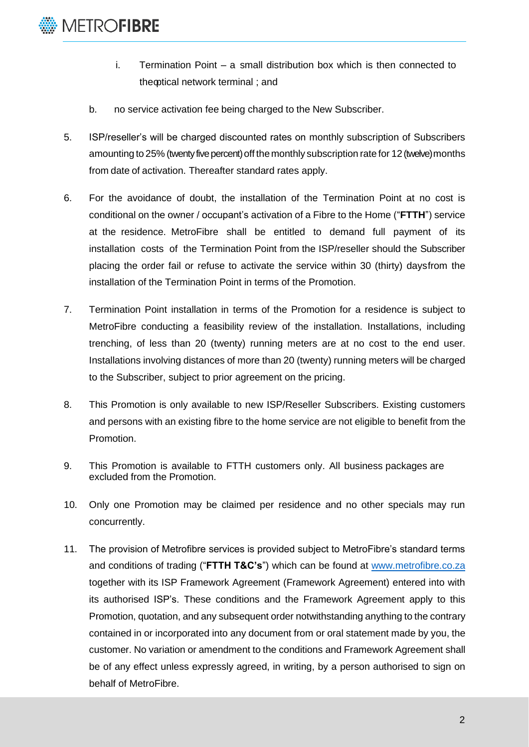

- i. Termination Point a small distribution box which is then connected to theoptical network terminal ; and
- b. no service activation fee being charged to the New Subscriber.
- 5. ISP/reseller's will be charged discounted rates on monthly subscription of Subscribers amounting to 25% (twenty five percent) off themonthly subscription rate for 12 (twelve) months from date of activation. Thereafter standard rates apply.
- 6. For the avoidance of doubt, the installation of the Termination Point at no cost is conditional on the owner / occupant's activation of a Fibre to the Home ("**FTTH**") service at the residence. MetroFibre shall be entitled to demand full payment of its installation costs of the Termination Point from the ISP/reseller should the Subscriber placing the order fail or refuse to activate the service within 30 (thirty) daysfrom the installation of the Termination Point in terms of the Promotion.
- 7. Termination Point installation in terms of the Promotion for a residence is subject to MetroFibre conducting a feasibility review of the installation. Installations, including trenching, of less than 20 (twenty) running meters are at no cost to the end user. Installations involving distances of more than 20 (twenty) running meters will be charged to the Subscriber, subject to prior agreement on the pricing.
- 8. This Promotion is only available to new ISP/Reseller Subscribers. Existing customers and persons with an existing fibre to the home service are not eligible to benefit from the Promotion.
- 9. This Promotion is available to FTTH customers only. All business packages are excluded from the Promotion.
- 10. Only one Promotion may be claimed per residence and no other specials may run concurrently.
- 11. The provision of Metrofibre services is provided subject to MetroFibre's standard terms and conditions of trading ("**FTTH T&C's**") which can be found at [www.metrofibre.co.za](http://www.metrofibre.co.za/) together with its ISP Framework Agreement (Framework Agreement) entered into with its authorised ISP's. These conditions and the Framework Agreement apply to this Promotion, quotation, and any subsequent order notwithstanding anything to the contrary contained in or incorporated into any document from or oral statement made by you, the customer. No variation or amendment to the conditions and Framework Agreement shall be of any effect unless expressly agreed, in writing, by a person authorised to sign on behalf of MetroFibre.